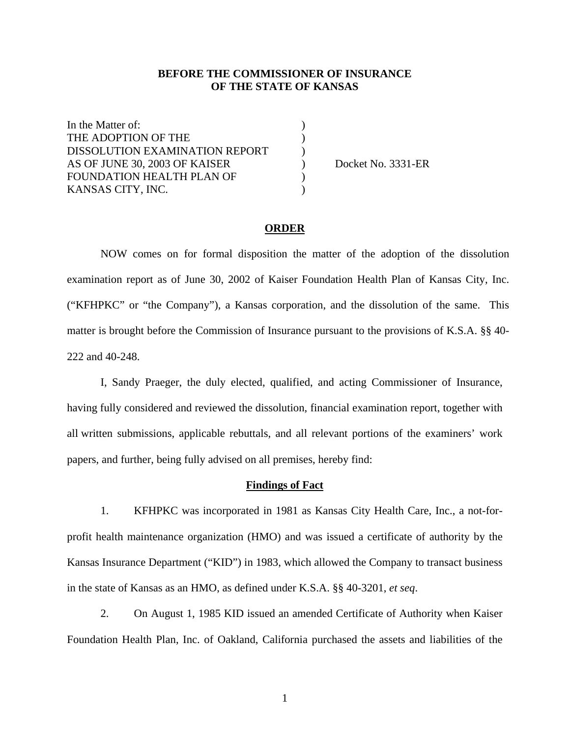## **BEFORE THE COMMISSIONER OF INSURANCE OF THE STATE OF KANSAS**

In the Matter of:  $\qquad \qquad$  ) THE ADOPTION OF THE  $($ DISSOLUTION EXAMINATION REPORT  $)$ AS OF JUNE 30, 2003 OF KAISER ) Docket No. 3331-ER FOUNDATION HEALTH PLAN OF  $($ KANSAS CITY, INC. )

#### **ORDER**

NOW comes on for formal disposition the matter of the adoption of the dissolution examination report as of June 30, 2002 of Kaiser Foundation Health Plan of Kansas City, Inc. ("KFHPKC" or "the Company"), a Kansas corporation, and the dissolution of the same. This matter is brought before the Commission of Insurance pursuant to the provisions of K.S.A. §§ 40- 222 and 40-248.

I, Sandy Praeger, the duly elected, qualified, and acting Commissioner of Insurance, having fully considered and reviewed the dissolution, financial examination report, together with all written submissions, applicable rebuttals, and all relevant portions of the examiners' work papers, and further, being fully advised on all premises, hereby find:

#### **Findings of Fact**

1. KFHPKC was incorporated in 1981 as Kansas City Health Care, Inc., a not-forprofit health maintenance organization (HMO) and was issued a certificate of authority by the Kansas Insurance Department ("KID") in 1983, which allowed the Company to transact business in the state of Kansas as an HMO, as defined under K.S.A. §§ 40-3201, *et seq*.

2. On August 1, 1985 KID issued an amended Certificate of Authority when Kaiser Foundation Health Plan, Inc. of Oakland, California purchased the assets and liabilities of the

1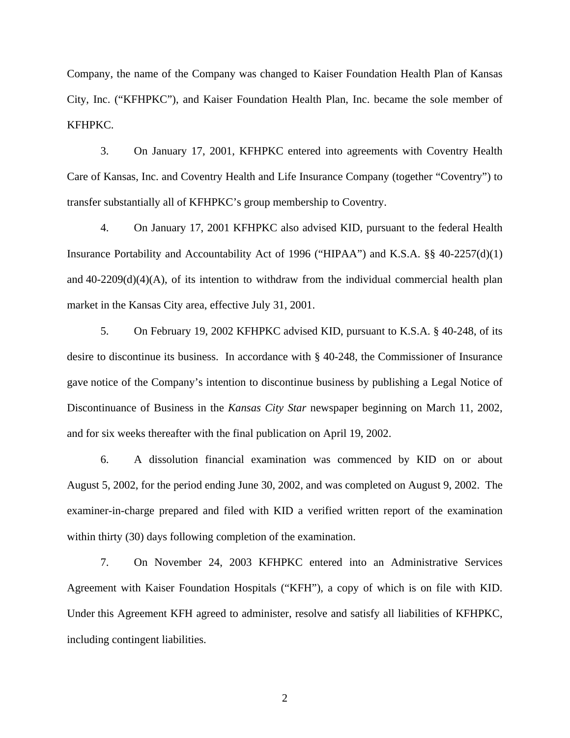Company, the name of the Company was changed to Kaiser Foundation Health Plan of Kansas City, Inc. ("KFHPKC"), and Kaiser Foundation Health Plan, Inc. became the sole member of KFHPKC.

3. On January 17, 2001, KFHPKC entered into agreements with Coventry Health Care of Kansas, Inc. and Coventry Health and Life Insurance Company (together "Coventry") to transfer substantially all of KFHPKC's group membership to Coventry.

4. On January 17, 2001 KFHPKC also advised KID, pursuant to the federal Health Insurance Portability and Accountability Act of 1996 ("HIPAA") and K.S.A. §§ 40-2257(d)(1) and  $40-2209(d)(4)(A)$ , of its intention to withdraw from the individual commercial health plan market in the Kansas City area, effective July 31, 2001.

5. On February 19, 2002 KFHPKC advised KID, pursuant to K.S.A. § 40-248, of its desire to discontinue its business. In accordance with § 40-248, the Commissioner of Insurance gave notice of the Company's intention to discontinue business by publishing a Legal Notice of Discontinuance of Business in the *Kansas City Star* newspaper beginning on March 11, 2002, and for six weeks thereafter with the final publication on April 19, 2002.

6. A dissolution financial examination was commenced by KID on or about August 5, 2002, for the period ending June 30, 2002, and was completed on August 9, 2002. The examiner-in-charge prepared and filed with KID a verified written report of the examination within thirty (30) days following completion of the examination.

7. On November 24, 2003 KFHPKC entered into an Administrative Services Agreement with Kaiser Foundation Hospitals ("KFH"), a copy of which is on file with KID. Under this Agreement KFH agreed to administer, resolve and satisfy all liabilities of KFHPKC, including contingent liabilities.

2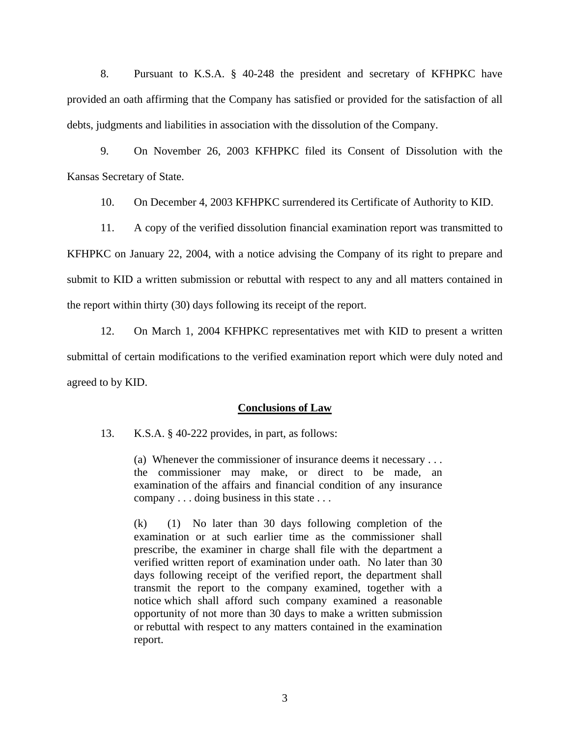8. Pursuant to K.S.A. § 40-248 the president and secretary of KFHPKC have provided an oath affirming that the Company has satisfied or provided for the satisfaction of all debts, judgments and liabilities in association with the dissolution of the Company.

9. On November 26, 2003 KFHPKC filed its Consent of Dissolution with the Kansas Secretary of State.

10. On December 4, 2003 KFHPKC surrendered its Certificate of Authority to KID.

11. A copy of the verified dissolution financial examination report was transmitted to KFHPKC on January 22, 2004, with a notice advising the Company of its right to prepare and submit to KID a written submission or rebuttal with respect to any and all matters contained in the report within thirty (30) days following its receipt of the report.

12. On March 1, 2004 KFHPKC representatives met with KID to present a written submittal of certain modifications to the verified examination report which were duly noted and agreed to by KID.

### **Conclusions of Law**

13. K.S.A. § 40-222 provides, in part, as follows:

(a) Whenever the commissioner of insurance deems it necessary . . . the commissioner may make, or direct to be made, an examination of the affairs and financial condition of any insurance company . . . doing business in this state . . .

(k) (1) No later than 30 days following completion of the examination or at such earlier time as the commissioner shall prescribe, the examiner in charge shall file with the department a verified written report of examination under oath. No later than 30 days following receipt of the verified report, the department shall transmit the report to the company examined, together with a notice which shall afford such company examined a reasonable opportunity of not more than 30 days to make a written submission or rebuttal with respect to any matters contained in the examination report.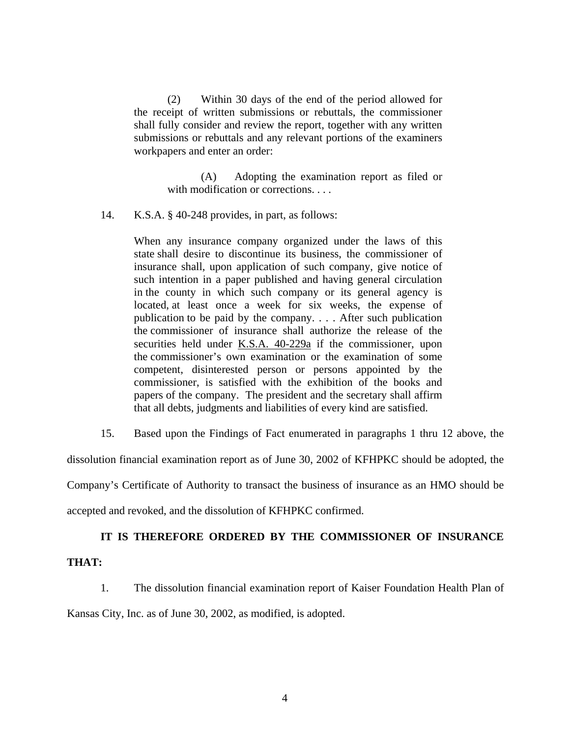(2) Within 30 days of the end of the period allowed for the receipt of written submissions or rebuttals, the commissioner shall fully consider and review the report, together with any written submissions or rebuttals and any relevant portions of the examiners workpapers and enter an order:

> (A) Adopting the examination report as filed or with modification or corrections. . . .

14. K.S.A. § 40-248 provides, in part, as follows:

When any insurance company organized under the laws of this state shall desire to discontinue its business, the commissioner of insurance shall, upon application of such company, give notice of such intention in a paper published and having general circulation in the county in which such company or its general agency is located, at least once a week for six weeks, the expense of publication to be paid by the company. . . . After such publication the commissioner of insurance shall authorize the release of the securities held under K.S.A. 40-229a if the commissioner, upon the commissioner's own examination or the examination of some competent, disinterested person or persons appointed by the commissioner, is satisfied with the exhibition of the books and papers of the company. The president and the secretary shall affirm that all debts, judgments and liabilities of every kind are satisfied.

15. Based upon the Findings of Fact enumerated in paragraphs 1 thru 12 above, the

dissolution financial examination report as of June 30, 2002 of KFHPKC should be adopted, the

Company's Certificate of Authority to transact the business of insurance as an HMO should be

accepted and revoked, and the dissolution of KFHPKC confirmed.

### **IT IS THEREFORE ORDERED BY THE COMMISSIONER OF INSURANCE**

### **THAT:**

1. The dissolution financial examination report of Kaiser Foundation Health Plan of

Kansas City, Inc. as of June 30, 2002, as modified, is adopted.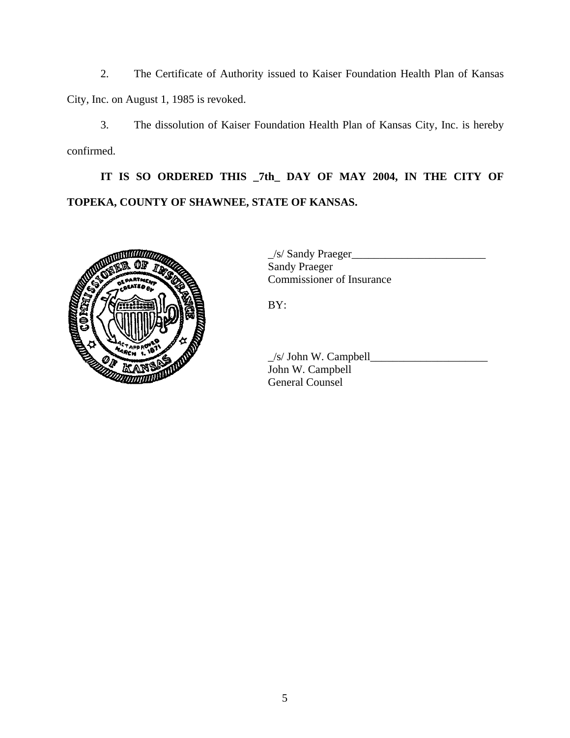2. The Certificate of Authority issued to Kaiser Foundation Health Plan of Kansas City, Inc. on August 1, 1985 is revoked.

3. The dissolution of Kaiser Foundation Health Plan of Kansas City, Inc. is hereby confirmed.

**IT IS SO ORDERED THIS \_7th\_ DAY OF MAY 2004, IN THE CITY OF TOPEKA, COUNTY OF SHAWNEE, STATE OF KANSAS.** 



 \_/s/ Sandy Praeger\_\_\_\_\_\_\_\_\_\_\_\_\_\_\_\_\_\_\_\_\_\_\_\_ Sandy Praeger Commissioner of Insurance

BY:

 $\angle$ /s/ John W. Campbell $\angle$  John W. Campbell General Counsel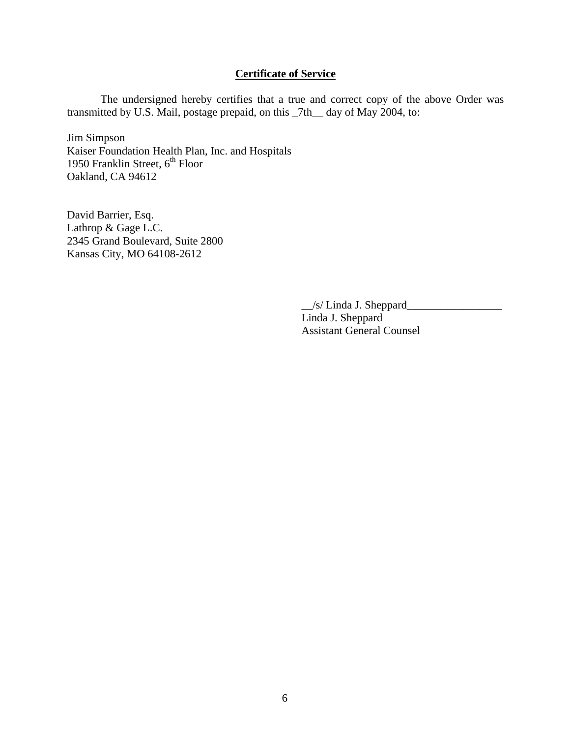## **Certificate of Service**

The undersigned hereby certifies that a true and correct copy of the above Order was transmitted by U.S. Mail, postage prepaid, on this \_7th\_\_ day of May 2004, to:

Jim Simpson Kaiser Foundation Health Plan, Inc. and Hospitals 1950 Franklin Street, 6<sup>th</sup> Floor Oakland, CA 94612

David Barrier, Esq. Lathrop & Gage L.C. 2345 Grand Boulevard, Suite 2800 Kansas City, MO 64108-2612

> \_\_/s/ Linda J. Sheppard\_\_\_\_\_\_\_\_\_\_\_\_\_\_\_\_\_ Linda J. Sheppard Assistant General Counsel